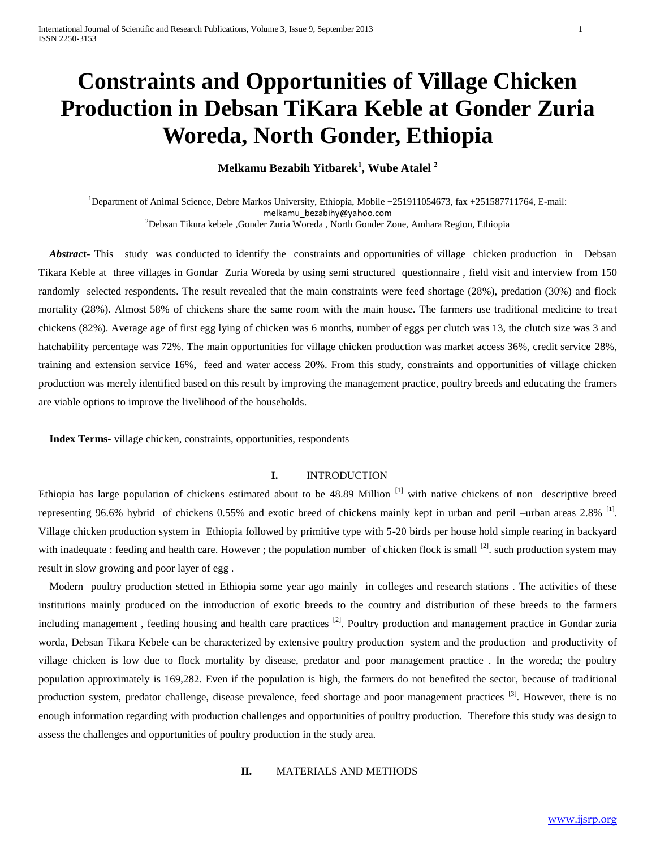# **Constraints and Opportunities of Village Chicken Production in Debsan TiKara Keble at Gonder Zuria Woreda, North Gonder, Ethiopia**

## **Melkamu Bezabih Yitbarek<sup>1</sup> , Wube Atalel <sup>2</sup>**

<sup>1</sup>Department of Animal Science, Debre Markos University, Ethiopia, Mobile +251911054673, fax +251587711764, E-mail: [melkamu\\_bezabihy@yahoo.com](mailto:melkamu_bezabihy@yahoo.com) <sup>2</sup>Debsan Tikura kebele ,Gonder Zuria Woreda, North Gonder Zone, Amhara Region, Ethiopia

Abstract- This study was conducted to identify the constraints and opportunities of village chicken production in Debsan Tikara Keble at three villages in Gondar Zuria Woreda by using semi structured questionnaire , field visit and interview from 150 randomly selected respondents. The result revealed that the main constraints were feed shortage (28%), predation (30%) and flock mortality (28%). Almost 58% of chickens share the same room with the main house. The farmers use traditional medicine to treat chickens (82%). Average age of first egg lying of chicken was 6 months, number of eggs per clutch was 13, the clutch size was 3 and hatchability percentage was 72%. The main opportunities for village chicken production was market access 36%, credit service 28%, training and extension service 16%, feed and water access 20%. From this study, constraints and opportunities of village chicken production was merely identified based on this result by improving the management practice, poultry breeds and educating the framers are viable options to improve the livelihood of the households.

 **Index Terms-** village chicken, constraints, opportunities, respondents

## **I.** INTRODUCTION

Ethiopia has large population of chickens estimated about to be 48.89 Million<sup>[1]</sup> with native chickens of non descriptive breed representing 96.6% hybrid of chickens 0.55% and exotic breed of chickens mainly kept in urban and peril –urban areas 2.8% <sup>[1]</sup>. Village chicken production system in Ethiopia followed by primitive type with 5-20 birds per house hold simple rearing in backyard with inadequate : feeding and health care. However ; the population number of chicken flock is small  $^{[2]}$ . such production system may result in slow growing and poor layer of egg .

 Modern poultry production stetted in Ethiopia some year ago mainly in colleges and research stations . The activities of these institutions mainly produced on the introduction of exotic breeds to the country and distribution of these breeds to the farmers including management, feeding housing and health care practices <sup>[2]</sup>. Poultry production and management practice in Gondar zuria worda, Debsan Tikara Kebele can be characterized by extensive poultry production system and the production and productivity of village chicken is low due to flock mortality by disease, predator and poor management practice . In the woreda; the poultry population approximately is 169,282. Even if the population is high, the farmers do not benefited the sector, because of traditional production system, predator challenge, disease prevalence, feed shortage and poor management practices <sup>[3]</sup>. However, there is no enough information regarding with production challenges and opportunities of poultry production. Therefore this study was design to assess the challenges and opportunities of poultry production in the study area.

## **II.** MATERIALS AND METHODS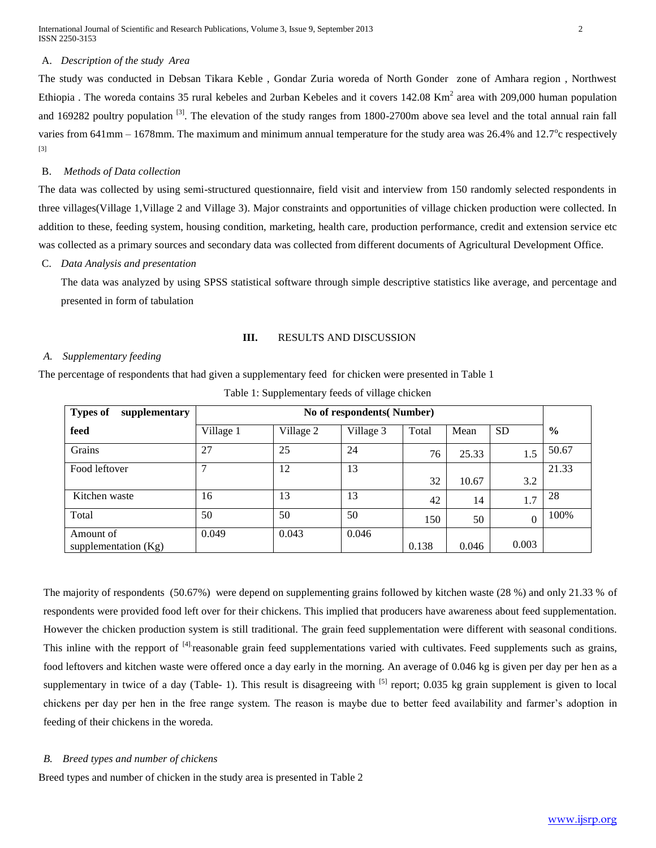International Journal of Scientific and Research Publications, Volume 3, Issue 9, September 2013 2 ISSN 2250-3153

#### A. *Description of the study Area*

The study was conducted in Debsan Tikara Keble , Gondar Zuria woreda of North Gonder zone of Amhara region , Northwest Ethiopia. The woreda contains 35 rural kebeles and 2urban Kebeles and it covers  $142.08 \text{ Km}^2$  area with 209,000 human population and 169282 poultry population  $\frac{3}{1}$ . The elevation of the study ranges from 1800-2700m above sea level and the total annual rain fall varies from  $641$ mm  $- 1678$ mm. The maximum and minimum annual temperature for the study area was  $26.4\%$  and  $12.7^\circ$ c respectively [3]

#### B. *Methods of Data collection*

The data was collected by using semi-structured questionnaire, field visit and interview from 150 randomly selected respondents in three villages(Village 1,Village 2 and Village 3). Major constraints and opportunities of village chicken production were collected. In addition to these, feeding system, housing condition, marketing, health care, production performance, credit and extension service etc was collected as a primary sources and secondary data was collected from different documents of Agricultural Development Office.

C. *Data Analysis and presentation* 

The data was analyzed by using SPSS statistical software through simple descriptive statistics like average, and percentage and presented in form of tabulation

#### **III.** RESULTS AND DISCUSSION

#### *A. Supplementary feeding*

The percentage of respondents that had given a supplementary feed for chicken were presented in Table 1

| <b>Types of</b><br>supplementary |           | No of respondents (Number) |           |       |       |           |               |  |  |
|----------------------------------|-----------|----------------------------|-----------|-------|-------|-----------|---------------|--|--|
| feed                             | Village 1 | Village 2                  | Village 3 | Total | Mean  | <b>SD</b> | $\frac{6}{6}$ |  |  |
| Grains                           | 27        | 25                         | 24        | 76    | 25.33 | 1.5       | 50.67         |  |  |
| Food leftover                    |           | 12                         | 13        |       |       |           | 21.33         |  |  |
|                                  |           |                            |           | 32    | 10.67 | 3.2       |               |  |  |
| Kitchen waste                    | 16        | 13                         | 13        | 42    | 14    | 1.7       | 28            |  |  |
| Total                            | 50        | 50                         | 50        | 150   | 50    | $\theta$  | 100%          |  |  |
| Amount of                        | 0.049     | 0.043                      | 0.046     |       |       |           |               |  |  |
| supplementation $(Kg)$           |           |                            |           | 0.138 | 0.046 | 0.003     |               |  |  |

Table 1: Supplementary feeds of village chicken

The majority of respondents (50.67%) were depend on supplementing grains followed by kitchen waste (28 %) and only 21.33 % of respondents were provided food left over for their chickens. This implied that producers have awareness about feed supplementation. However the chicken production system is still traditional. The grain feed supplementation were different with seasonal conditions. This inline with the repport of <sup>[4]</sup> reasonable grain feed supplementations varied with cultivates. Feed supplements such as grains, food leftovers and kitchen waste were offered once a day early in the morning. An average of 0.046 kg is given per day per hen as a supplementary in twice of a day (Table- 1). This result is disagreeing with  $^{[5]}$  report; 0.035 kg grain supplement is given to local chickens per day per hen in the free range system. The reason is maybe due to better feed availability and farmer's adoption in feeding of their chickens in the woreda.

#### *B. Breed types and number of chickens*

Breed types and number of chicken in the study area is presented in Table 2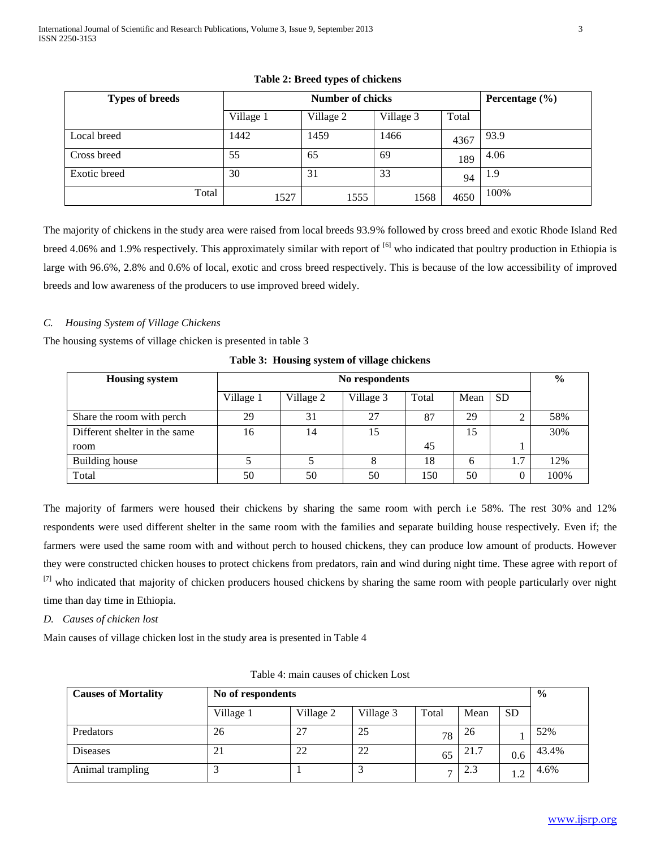| <b>Types of breeds</b> |           | <b>Number of chicks</b> |           |       |      |  |  |
|------------------------|-----------|-------------------------|-----------|-------|------|--|--|
|                        | Village 1 | Village 2               | Village 3 | Total |      |  |  |
| Local breed            | 1442      | 1459                    | 1466      | 4367  | 93.9 |  |  |
| Cross breed            | 55        | 65                      | 69        | 189   | 4.06 |  |  |
| Exotic breed           | 30        | 31                      | 33        | 94    | 1.9  |  |  |
| Total                  | 1527      | 1555                    | 1568      | 4650  | 100% |  |  |

## **Table 2: Breed types of chickens**

The majority of chickens in the study area were raised from local breeds 93.9% followed by cross breed and exotic Rhode Island Red breed 4.06% and 1.9% respectively. This approximately similar with report of  $^{[6]}$  who indicated that poultry production in Ethiopia is large with 96.6%, 2.8% and 0.6% of local, exotic and cross breed respectively. This is because of the low accessibility of improved breeds and low awareness of the producers to use improved breed widely.

## *C. Housing System of Village Chickens*

The housing systems of village chicken is presented in table 3

| <b>Housing system</b>         |           | No respondents |           |       |      |           |      |  |  |
|-------------------------------|-----------|----------------|-----------|-------|------|-----------|------|--|--|
|                               | Village 1 | Village 2      | Village 3 | Total | Mean | <b>SD</b> |      |  |  |
| Share the room with perch     | 29        | 31             | 27        | 87    | 29   | ∸         | 58%  |  |  |
| Different shelter in the same | 16        | 14             | 15        |       | 15   |           | 30%  |  |  |
| room                          |           |                |           | 45    |      |           |      |  |  |
| Building house                |           |                | 8         | 18    | 6    |           | 12%  |  |  |
| Total                         | 50        | 50             | 50        | 150   | 50   |           | 100% |  |  |

**Table 3: Housing system of village chickens**

The majority of farmers were housed their chickens by sharing the same room with perch i.e 58%. The rest 30% and 12% respondents were used different shelter in the same room with the families and separate building house respectively. Even if; the farmers were used the same room with and without perch to housed chickens, they can produce low amount of products. However they were constructed chicken houses to protect chickens from predators, rain and wind during night time. These agree with report of <sup>[7]</sup> who indicated that majority of chicken producers housed chickens by sharing the same room with people particularly over night time than day time in Ethiopia.

## *D. Causes of chicken lost*

Main causes of village chicken lost in the study area is presented in Table 4

| <b>Causes of Mortality</b> |           | No of respondents |           |                |      |           |       |  |  |
|----------------------------|-----------|-------------------|-----------|----------------|------|-----------|-------|--|--|
|                            | Village 1 | Village 2         | Village 3 | Total          | Mean | <b>SD</b> |       |  |  |
| Predators                  | 26        | 27                | 25        | 78             | 26   |           | 52%   |  |  |
| <b>Diseases</b>            | 21        | 22                | 22        | 65             | 21.7 | 0.6       | 43.4% |  |  |
| Animal trampling           |           |                   |           | $\overline{ }$ | 2.3  |           | 4.6%  |  |  |

Table 4: main causes of chicken Lost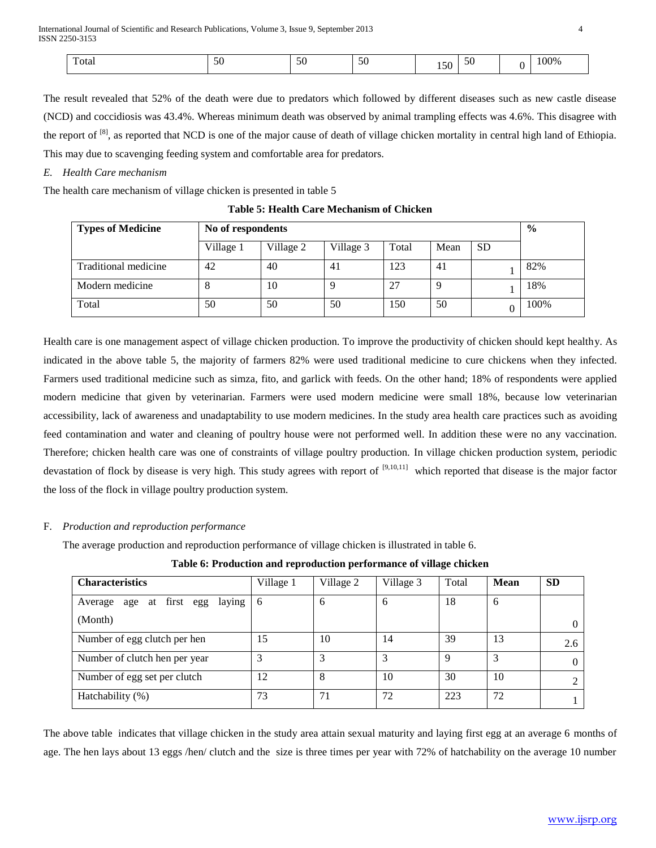The result revealed that 52% of the death were due to predators which followed by different diseases such as new castle disease (NCD) and coccidiosis was 43.4%. Whereas minimum death was observed by animal trampling effects was 4.6%. This disagree with the report of  $^{[8]}$ , as reported that NCD is one of the major cause of death of village chicken mortality in central high land of Ethiopia. This may due to scavenging feeding system and comfortable area for predators.

#### *E. Health Care mechanism*

The health care mechanism of village chicken is presented in table 5

| <b>Types of Medicine</b> |           | No of respondents |           |       |          |           |      |  |
|--------------------------|-----------|-------------------|-----------|-------|----------|-----------|------|--|
|                          | Village 1 | Village 2         | Village 3 | Total | Mean     | <b>SD</b> |      |  |
| Traditional medicine     | 42        | 40                | 41        | 123   | 41       |           | 82%  |  |
| Modern medicine          | ◠         | 10                |           | 27    | $\Omega$ |           | 18%  |  |
| Total                    | 50        | 50                | 50        | 150   | 50       |           | 100% |  |

**Table 5: Health Care Mechanism of Chicken**

Health care is one management aspect of village chicken production. To improve the productivity of chicken should kept healthy. As indicated in the above table 5, the majority of farmers 82% were used traditional medicine to cure chickens when they infected. Farmers used traditional medicine such as simza, fito, and garlick with feeds. On the other hand; 18% of respondents were applied modern medicine that given by veterinarian. Farmers were used modern medicine were small 18%, because low veterinarian accessibility, lack of awareness and unadaptability to use modern medicines. In the study area health care practices such as avoiding feed contamination and water and cleaning of poultry house were not performed well. In addition these were no any vaccination. Therefore; chicken health care was one of constraints of village poultry production. In village chicken production system, periodic devastation of flock by disease is very high. This study agrees with report of [9,10,11] which reported that disease is the major factor the loss of the flock in village poultry production system.

## F. *Production and reproduction performance*

The average production and reproduction performance of village chicken is illustrated in table 6.

**Table 6: Production and reproduction performance of village chicken**

| <b>Characteristics</b>                   | Village 1 | Village 2 | Village 3 | Total | <b>Mean</b> | <b>SD</b>   |
|------------------------------------------|-----------|-----------|-----------|-------|-------------|-------------|
| at first egg<br>laying<br>Average<br>age | 6         | 6         | 6         | 18    | 6           |             |
| (Month)                                  |           |           |           |       |             | $\Omega$    |
| Number of egg clutch per hen             | 15        | 10        | 14        | 39    | 13          | 2.6         |
| Number of clutch hen per year            |           |           | 3         | Q     | 3           | $\Omega$    |
| Number of egg set per clutch             | 12        |           | 10        | 30    | 10          | $2^{\circ}$ |
| Hatchability (%)                         | 73        | 71        | 72        | 223   | 72          |             |

The above table indicates that village chicken in the study area attain sexual maturity and laying first egg at an average 6 months of age. The hen lays about 13 eggs /hen/ clutch and the size is three times per year with 72% of hatchability on the average 10 number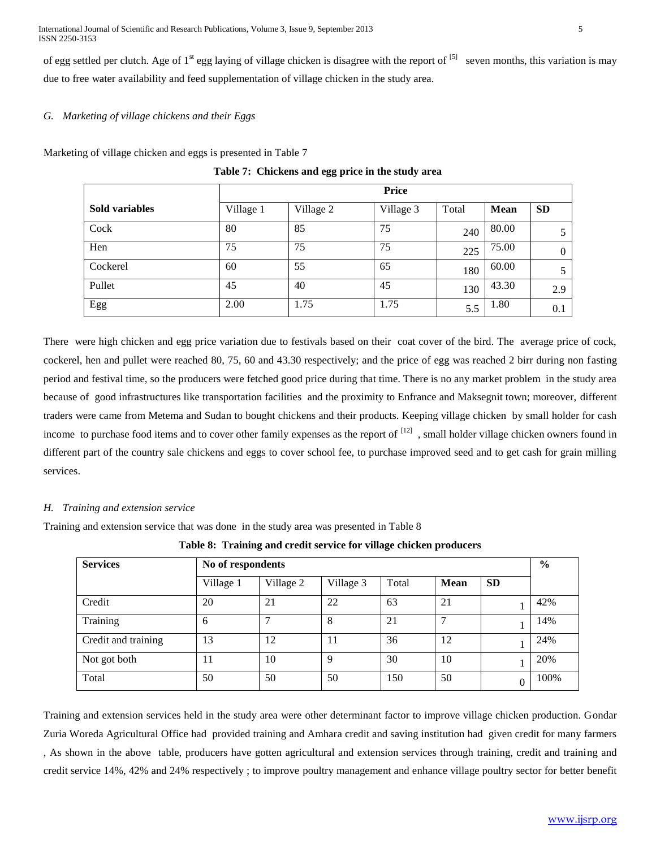International Journal of Scientific and Research Publications, Volume 3, Issue 9, September 2013 5 ISSN 2250-3153

of egg settled per clutch. Age of  $1^{st}$  egg laying of village chicken is disagree with the report of  $[5]$  seven months, this variation is may due to free water availability and feed supplementation of village chicken in the study area.

## *G. Marketing of village chickens and their Eggs*

Marketing of village chicken and eggs is presented in Table 7

|                       | <b>Price</b> |           |           |       |             |           |  |  |
|-----------------------|--------------|-----------|-----------|-------|-------------|-----------|--|--|
| <b>Sold variables</b> | Village 1    | Village 2 | Village 3 | Total | <b>Mean</b> | <b>SD</b> |  |  |
| Cock                  | 80           | 85        | 75        | 240   | 80.00       | 5         |  |  |
| Hen                   | 75           | 75        | 75        | 225   | 75.00       | $\Omega$  |  |  |
| Cockerel              | 60           | 55        | 65        | 180   | 60.00       | 5         |  |  |
| Pullet                | 45           | 40        | 45        | 130   | 43.30       | 2.9       |  |  |
| Egg                   | 2.00         | 1.75      | 1.75      | 5.5   | 1.80        | 0.1       |  |  |

**Table 7: Chickens and egg price in the study area**

There were high chicken and egg price variation due to festivals based on their coat cover of the bird. The average price of cock, cockerel, hen and pullet were reached 80, 75, 60 and 43.30 respectively; and the price of egg was reached 2 birr during non fasting period and festival time, so the producers were fetched good price during that time. There is no any market problem in the study area because of good infrastructures like transportation facilities and the proximity to Enfrance and Maksegnit town; moreover, different traders were came from Metema and Sudan to bought chickens and their products. Keeping village chicken by small holder for cash income to purchase food items and to cover other family expenses as the report of  $[12]$ , small holder village chicken owners found in different part of the country sale chickens and eggs to cover school fee, to purchase improved seed and to get cash for grain milling services.

#### *H. Training and extension service*

Training and extension service that was done in the study area was presented in Table 8

**Table 8: Training and credit service for village chicken producers**

| <b>Services</b>     | No of respondents |           |             |       |      |           |      |  |
|---------------------|-------------------|-----------|-------------|-------|------|-----------|------|--|
|                     | Village 1         | Village 2 | Village 3   | Total | Mean | <b>SD</b> |      |  |
| Credit              | 20                | 21        | 22          | 63    | 21   |           | 42%  |  |
| Training            | 6                 | ┑         | 8           | 21    |      |           | 14%  |  |
| Credit and training | 13                | 12        | 11          | 36    | 12   |           | 24%  |  |
| Not got both        | 11                | 10        | $\mathbf Q$ | 30    | 10   |           | 20%  |  |
| Total               | 50                | 50        | 50          | 150   | 50   | 0         | 100% |  |

Training and extension services held in the study area were other determinant factor to improve village chicken production. Gondar Zuria Woreda Agricultural Office had provided training and Amhara credit and saving institution had given credit for many farmers , As shown in the above table, producers have gotten agricultural and extension services through training, credit and training and credit service 14%, 42% and 24% respectively ; to improve poultry management and enhance village poultry sector for better benefit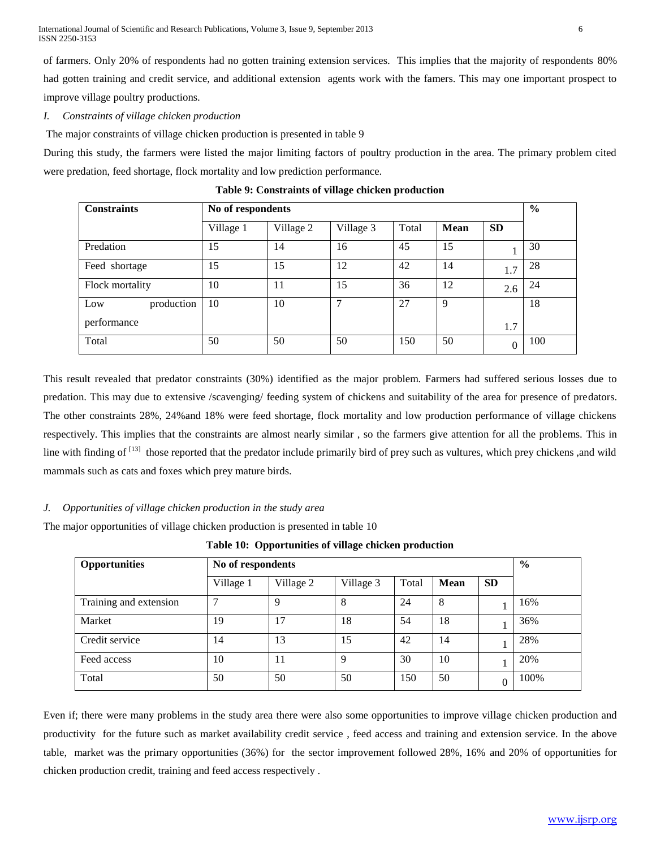of farmers. Only 20% of respondents had no gotten training extension services. This implies that the majority of respondents 80% had gotten training and credit service, and additional extension agents work with the famers. This may one important prospect to improve village poultry productions.

## *I. Constraints of village chicken production*

The major constraints of village chicken production is presented in table 9

During this study, the farmers were listed the major limiting factors of poultry production in the area. The primary problem cited were predation, feed shortage, flock mortality and low prediction performance.

| <b>Constraints</b> |           | No of respondents |           |       |             |           |     |  |
|--------------------|-----------|-------------------|-----------|-------|-------------|-----------|-----|--|
|                    | Village 1 | Village 2         | Village 3 | Total | <b>Mean</b> | <b>SD</b> |     |  |
| Predation          | 15        | 14                | 16        | 45    | 15          |           | 30  |  |
| Feed shortage      | 15        | 15                | 12        | 42    | 14          | 1.7       | 28  |  |
| Flock mortality    | 10        | 11                | 15        | 36    | 12          | 2.6       | 24  |  |
| Low<br>production  | 10        | 10                | 7         | 27    | 9           |           | 18  |  |
| performance        |           |                   |           |       |             | 1.7       |     |  |
| Total              | 50        | 50                | 50        | 150   | 50          | $\Omega$  | 100 |  |

**Table 9: Constraints of village chicken production**

This result revealed that predator constraints (30%) identified as the major problem. Farmers had suffered serious losses due to predation. This may due to extensive /scavenging/ feeding system of chickens and suitability of the area for presence of predators. The other constraints 28%, 24%and 18% were feed shortage, flock mortality and low production performance of village chickens respectively. This implies that the constraints are almost nearly similar , so the farmers give attention for all the problems. This in line with finding of <sup>[13]</sup> those reported that the predator include primarily bird of prey such as vultures, which prey chickens, and wild mammals such as cats and foxes which prey mature birds.

## *J. Opportunities of village chicken production in the study area*

The major opportunities of village chicken production is presented in table 10

**Table 10: Opportunities of village chicken production**

| <b>Opportunities</b>   |           | No of respondents |           |       |             |           |      |  |  |
|------------------------|-----------|-------------------|-----------|-------|-------------|-----------|------|--|--|
|                        | Village 1 | Village 2         | Village 3 | Total | <b>Mean</b> | <b>SD</b> |      |  |  |
| Training and extension |           | 9                 | 8         | 24    | 8           |           | 16%  |  |  |
| Market                 | 19        | 17                | 18        | 54    | 18          |           | 36%  |  |  |
| Credit service         | 14        | 13                | 15        | 42    | 14          |           | 28%  |  |  |
| Feed access            | 10        | 11                | Q         | 30    | 10          |           | 20%  |  |  |
| Total                  | 50        | 50                | 50        | 150   | 50          | O         | 100% |  |  |

Even if; there were many problems in the study area there were also some opportunities to improve village chicken production and productivity for the future such as market availability credit service , feed access and training and extension service. In the above table, market was the primary opportunities (36%) for the sector improvement followed 28%, 16% and 20% of opportunities for chicken production credit, training and feed access respectively .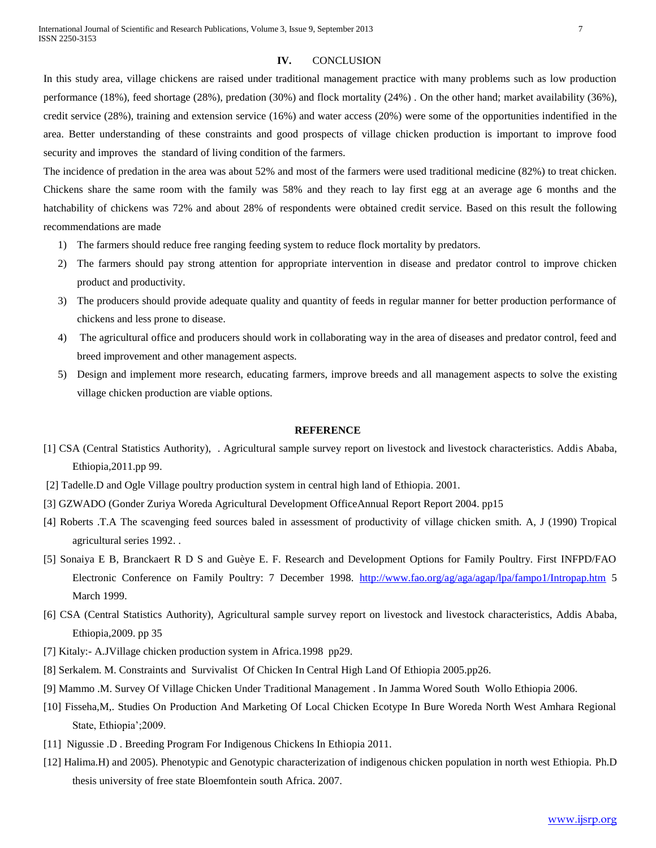#### **IV.** CONCLUSION

In this study area, village chickens are raised under traditional management practice with many problems such as low production performance (18%), feed shortage (28%), predation (30%) and flock mortality (24%) . On the other hand; market availability (36%), credit service (28%), training and extension service (16%) and water access (20%) were some of the opportunities indentified in the area. Better understanding of these constraints and good prospects of village chicken production is important to improve food security and improves the standard of living condition of the farmers.

The incidence of predation in the area was about 52% and most of the farmers were used traditional medicine (82%) to treat chicken. Chickens share the same room with the family was 58% and they reach to lay first egg at an average age 6 months and the hatchability of chickens was 72% and about 28% of respondents were obtained credit service. Based on this result the following recommendations are made

- 1) The farmers should reduce free ranging feeding system to reduce flock mortality by predators.
- 2) The farmers should pay strong attention for appropriate intervention in disease and predator control to improve chicken product and productivity.
- 3) The producers should provide adequate quality and quantity of feeds in regular manner for better production performance of chickens and less prone to disease.
- 4) The agricultural office and producers should work in collaborating way in the area of diseases and predator control, feed and breed improvement and other management aspects.
- 5) Design and implement more research, educating farmers, improve breeds and all management aspects to solve the existing village chicken production are viable options.

#### **REFERENCE**

- [1] CSA (Central Statistics Authority), . Agricultural sample survey report on livestock and livestock characteristics. Addis Ababa, Ethiopia,2011.pp 99.
- [2] Tadelle.D and Ogle Village poultry production system in central high land of Ethiopia. 2001.
- [3] GZWADO (Gonder Zuriya Woreda Agricultural Development OfficeAnnual Report Report 2004. pp15
- [4] Roberts .T.A The scavenging feed sources baled in assessment of productivity of village chicken smith. A, J (1990) Tropical agricultural series 1992. .
- [5] Sonaiya E B, Branckaert R D S and Guèye E. F. Research and Development Options for Family Poultry. First INFPD/FAO Electronic Conference on Family Poultry: 7 December 1998. <http://www.fao.org/ag/aga/agap/lpa/fampo1/Intropap.htm> 5 March 1999.
- [6] CSA (Central Statistics Authority), Agricultural sample survey report on livestock and livestock characteristics, Addis Ababa, Ethiopia,2009. pp 35
- [7] Kitaly:- A.JVillage chicken production system in Africa.1998 pp29.
- [8] Serkalem. M. Constraints and Survivalist Of Chicken In Central High Land Of Ethiopia 2005.pp26.
- [9] Mammo .M. Survey Of Village Chicken Under Traditional Management . In Jamma Wored South Wollo Ethiopia 2006.
- [10] Fisseha,M,. Studies On Production And Marketing Of Local Chicken Ecotype In Bure Woreda North West Amhara Regional State, Ethiopia';2009.
- [11] Nigussie .D . Breeding Program For Indigenous Chickens In Ethiopia 2011.
- [12] Halima.H) and 2005). Phenotypic and Genotypic characterization of indigenous chicken population in north west Ethiopia. Ph.D thesis university of free state Bloemfontein south Africa. 2007.